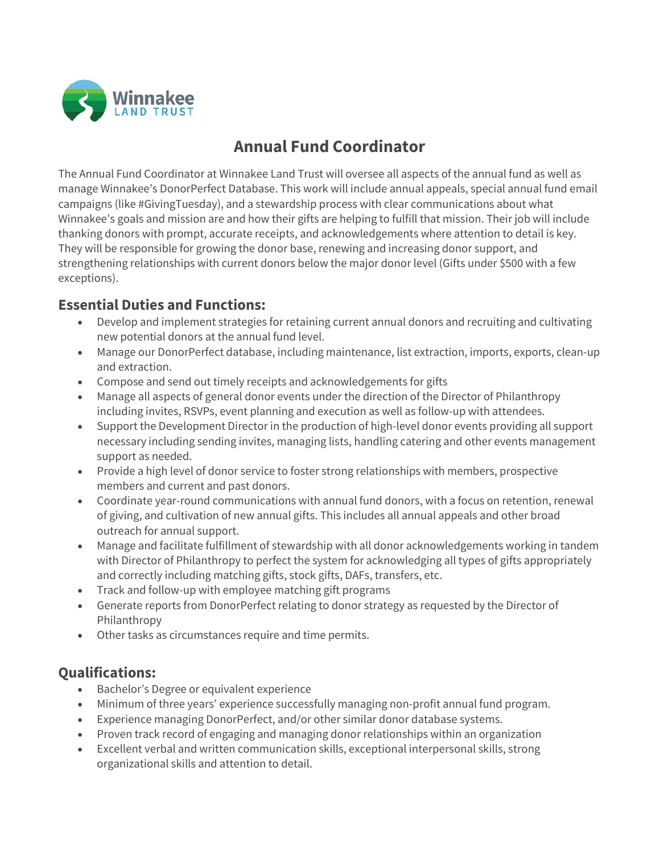

# **Annual Fund Coordinator**

The Annual Fund Coordinator at Winnakee Land Trust will oversee all aspects of the annual fund as well as manage Winnakee's DonorPerfect Database. This work will include annual appeals, special annual fund email campaigns (like #GivingTuesday), and a stewardship process with clear communications about what Winnakee's goals and mission are and how their gifts are helping to fulfill that mission. Their job will include thanking donors with prompt, accurate receipts, and acknowledgements where attention to detail is key. They will be responsible for growing the donor base, renewing and increasing donor support, and strengthening relationships with current donors below the major donor level (Gifts under \$500 with a few exceptions).

### **Essential Duties and Functions:**

- Develop and implement strategies for retaining current annual donors and recruiting and cultivating new potential donors at the annual fund level.
- Manage our DonorPerfect database, including maintenance, list extraction, imports, exports, clean-up and extraction.
- Compose and send out timely receipts and acknowledgements for gifts
- Manage all aspects of general donor events under the direction of the Director of Philanthropy including invites, RSVPs, event planning and execution as well as follow-up with attendees.
- Support the Development Director in the production of high-level donor events providing all support necessary including sending invites, managing lists, handling catering and other events management support as needed.
- Provide a high level of donor service to foster strong relationships with members, prospective members and current and past donors.
- Coordinate year-round communications with annual fund donors, with a focus on retention, renewal of giving, and cultivation of new annual gifts. This includes all annual appeals and other broad outreach for annual support.
- Manage and facilitate fulfillment of stewardship with all donor acknowledgements working in tandem with Director of Philanthropy to perfect the system for acknowledging all types of gifts appropriately and correctly including matching gifts, stock gifts, DAFs, transfers, etc.
- Track and follow-up with employee matching gift programs
- Generate reports from DonorPerfect relating to donor strategy as requested by the Director of Philanthropy
- Other tasks as circumstances require and time permits.

# **Qualifications:**

- Bachelor's Degree or equivalent experience
- Minimum of three years' experience successfully managing non-profit annual fund program.
- Experience managing DonorPerfect, and/or other similar donor database systems.
- Proven track record of engaging and managing donor relationships within an organization
- Excellent verbal and written communication skills, exceptional interpersonal skills, strong organizational skills and attention to detail.